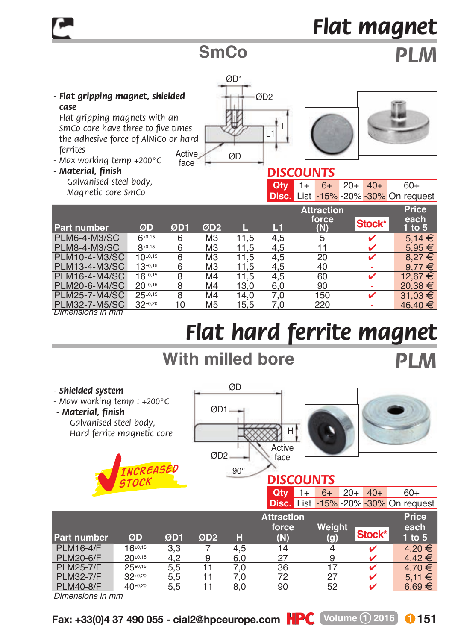# *Flat magnet*

### **SmCo** *PLM*

- *Flat gripping magnet, shielded case*
- Active *- Flat gripping magnets with an SmCo core have three to five times the adhesive force of AlNiCo or hard ferrites*
- *Max working temp +200°C*
- *Material, finish*



#### *Galvanised steel body, Magnetic core SmCo*

| $Qty$ 1+ 6+ 20+ 40+ |  |  | 60+                                         |
|---------------------|--|--|---------------------------------------------|
|                     |  |  | <b>Disc.</b> List -15% -20% -30% On request |

|                     |              |     |                 |      |     | <b>Attraction</b> |        | <b>Price</b>     |
|---------------------|--------------|-----|-----------------|------|-----|-------------------|--------|------------------|
| <b>Part number</b>  | ØD           | ØD1 | ØD <sub>2</sub> |      | L1  | force<br>(N)      | Stock* | each<br>1 to $5$ |
| PLM6-4-M3/SC        | $6*0,15$     | 6   | M <sub>3</sub>  | 11.5 | 4.5 | 5                 | v      | $5.14 \in$       |
| <b>PLM8-4-M3/SC</b> | $8*0,15$     | 6   | M <sub>3</sub>  | 11.5 | 4.5 | 11                |        | $5.95 \in$       |
| PLM10-4-M3/SC       | $10^{10,15}$ | 6   | M <sub>3</sub>  | 11.5 | 4.5 | 20                |        | $8.27 \in$       |
| PLM13-4-M3/SC       | $13+0,15$    | 6   | M <sub>3</sub>  | 11.5 | 4,5 | 40                | ٠      | $9.77 \in$       |
| PLM16-4-M4/SC       | $16^{±0,15}$ | 8   | M4              | 11.5 | 4.5 | 60                | ✔      | 12.67 €          |
| PLM20-6-M4/SC       | $20^{+0,15}$ | 8   | M <sub>4</sub>  | 13.0 | 6.0 | 90                |        | $20.38 \in$      |
| PLM25-7-M4/SC       | $25^{+0.15}$ | 8   | M <sub>4</sub>  | 14.0 | 7.0 | 150               |        | $31.03 \t∈$      |
| PLM32-7-M5/SC       | $32^{+0,20}$ | 10  | M <sub>5</sub>  | 15.5 | 7.0 | 220               |        | $46.40 \in$      |
| Dimensions in mm    |              |     |                 |      |     |                   |        |                  |

## *Flat hard ferrite magnet*

### **With milled bore** *PLM*

*- Shielded system - Maw working temp : +200°C - Material, finish Galvanised steel body, Hard ferrite magnetic core*   $QD1$ 90° Active face  $\alpha$ H ØD2 **DISCOUNTS**<br>**Oty** 1+ 6+ **20+ 40+ 60+ Disc.** List -15% -20% -30% On request **Attraction Price** *Increased stock*

| <b>Part number</b> | ØD           | ØD1 | ØD <sub>2</sub> | н   | Awaywu<br>force<br>(N) | Weight<br>(g) | Stock* | .<br>each<br>$1$ to $5$ |
|--------------------|--------------|-----|-----------------|-----|------------------------|---------------|--------|-------------------------|
| <b>PLM16-4/F</b>   | $16^{±0,15}$ | 3.3 |                 | 4.5 | 14                     |               |        | 4.20 €                  |
| <b>PLM20-6/F</b>   | $20^{10,15}$ | 4.2 | 9               | 6.0 | 27                     | 9             |        | $4.42 \in$              |
| <b>PLM25-7/F</b>   | $25^{10,15}$ | 5.5 |                 | 7.0 | 36                     |               |        | 4.70 €                  |
| <b>PLM32-7/F</b>   | $32^{+0,20}$ | 5.5 | 11              | 7.0 | 72                     | 27            |        | $5.11 \in$              |
| <b>PLM40-8/F</b>   | 40±0,20      | 5.5 | 11              | 8.0 | 90                     | 52            |        | $6,69 \in$              |

*Dimensions in mm*